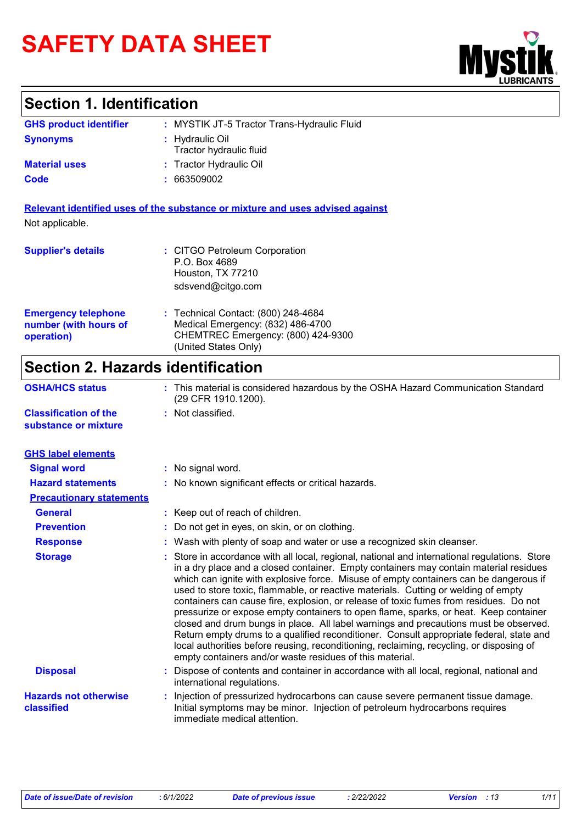# **SAFETY DATA SHEET**

### **Section 1. Identification**

| <b>GHS product identifier</b> | : MYSTIK JT-5 Tractor Trans-Hydraulic Fluid |
|-------------------------------|---------------------------------------------|
| <b>Synonyms</b>               | : Hydraulic Oil<br>Tractor hydraulic fluid  |
| <b>Material uses</b>          | : Tractor Hydraulic Oil                     |
| Code                          | : 663509002                                 |

**Relevant identified uses of the substance or mixture and uses advised against** Not applicable.

| <b>Supplier's details</b>                                         | : CITGO Petroleum Corporation<br>P.O. Box 4689<br>Houston, TX 77210<br>sdsvend@citgo.com                                               |
|-------------------------------------------------------------------|----------------------------------------------------------------------------------------------------------------------------------------|
| <b>Emergency telephone</b><br>number (with hours of<br>operation) | : Technical Contact: (800) 248-4684<br>Medical Emergency: (832) 486-4700<br>CHEMTREC Emergency: (800) 424-9300<br>(United States Only) |

# **Section 2. Hazards identification**

| <b>OSHA/HCS status</b>                               | : This material is considered hazardous by the OSHA Hazard Communication Standard<br>(29 CFR 1910.1200).                                                                                                                                                                                                                                                                                                                                                                                                                                                                                                                                                                                                                                                                                                                                                                                        |
|------------------------------------------------------|-------------------------------------------------------------------------------------------------------------------------------------------------------------------------------------------------------------------------------------------------------------------------------------------------------------------------------------------------------------------------------------------------------------------------------------------------------------------------------------------------------------------------------------------------------------------------------------------------------------------------------------------------------------------------------------------------------------------------------------------------------------------------------------------------------------------------------------------------------------------------------------------------|
| <b>Classification of the</b><br>substance or mixture | : Not classified.                                                                                                                                                                                                                                                                                                                                                                                                                                                                                                                                                                                                                                                                                                                                                                                                                                                                               |
| <b>GHS label elements</b>                            |                                                                                                                                                                                                                                                                                                                                                                                                                                                                                                                                                                                                                                                                                                                                                                                                                                                                                                 |
| <b>Signal word</b>                                   | : No signal word.                                                                                                                                                                                                                                                                                                                                                                                                                                                                                                                                                                                                                                                                                                                                                                                                                                                                               |
| <b>Hazard statements</b>                             | : No known significant effects or critical hazards.                                                                                                                                                                                                                                                                                                                                                                                                                                                                                                                                                                                                                                                                                                                                                                                                                                             |
| <b>Precautionary statements</b>                      |                                                                                                                                                                                                                                                                                                                                                                                                                                                                                                                                                                                                                                                                                                                                                                                                                                                                                                 |
| <b>General</b>                                       | : Keep out of reach of children.                                                                                                                                                                                                                                                                                                                                                                                                                                                                                                                                                                                                                                                                                                                                                                                                                                                                |
| <b>Prevention</b>                                    | Do not get in eyes, on skin, or on clothing.                                                                                                                                                                                                                                                                                                                                                                                                                                                                                                                                                                                                                                                                                                                                                                                                                                                    |
| <b>Response</b>                                      | : Wash with plenty of soap and water or use a recognized skin cleanser.                                                                                                                                                                                                                                                                                                                                                                                                                                                                                                                                                                                                                                                                                                                                                                                                                         |
| <b>Storage</b>                                       | Store in accordance with all local, regional, national and international regulations. Store<br>in a dry place and a closed container. Empty containers may contain material residues<br>which can ignite with explosive force. Misuse of empty containers can be dangerous if<br>used to store toxic, flammable, or reactive materials. Cutting or welding of empty<br>containers can cause fire, explosion, or release of toxic fumes from residues. Do not<br>pressurize or expose empty containers to open flame, sparks, or heat. Keep container<br>closed and drum bungs in place. All label warnings and precautions must be observed.<br>Return empty drums to a qualified reconditioner. Consult appropriate federal, state and<br>local authorities before reusing, reconditioning, reclaiming, recycling, or disposing of<br>empty containers and/or waste residues of this material. |
| <b>Disposal</b>                                      | Dispose of contents and container in accordance with all local, regional, national and<br>international regulations.                                                                                                                                                                                                                                                                                                                                                                                                                                                                                                                                                                                                                                                                                                                                                                            |
| <b>Hazards not otherwise</b><br>classified           | Injection of pressurized hydrocarbons can cause severe permanent tissue damage.<br>Initial symptoms may be minor. Injection of petroleum hydrocarbons requires<br>immediate medical attention.                                                                                                                                                                                                                                                                                                                                                                                                                                                                                                                                                                                                                                                                                                  |

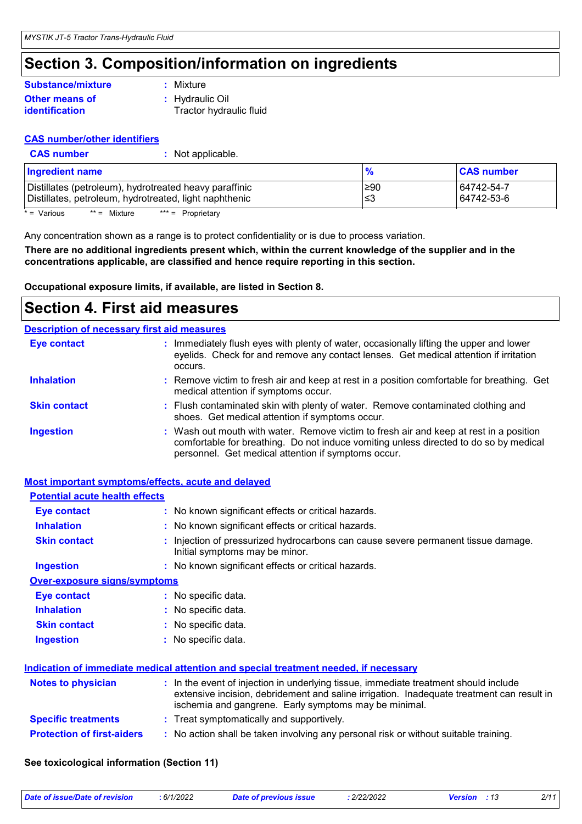### **Section 3. Composition/information on ingredients**

#### **Other means of identification Substance/mixture**

**:** Mixture

**:** Hydraulic Oil Tractor hydraulic fluid

**:** Not applicable.

#### **CAS number/other identifiers**

| <b>CAS number</b> |
|-------------------|
|-------------------|

| <b>Ingredient name</b>                                 | $\frac{9}{6}$ | <b>CAS number</b> |
|--------------------------------------------------------|---------------|-------------------|
| Distillates (petroleum), hydrotreated heavy paraffinic | 1≥90          | 64742-54-7        |
| Distillates, petroleum, hydrotreated, light naphthenic | ∣≤3           | 64742-53-6        |

 $* =$  Various  $** =$  Mixture  $*** =$  Proprietary

Any concentration shown as a range is to protect confidentiality or is due to process variation.

**There are no additional ingredients present which, within the current knowledge of the supplier and in the concentrations applicable, are classified and hence require reporting in this section.**

**Occupational exposure limits, if available, are listed in Section 8.**

### **Section 4. First aid measures**

|                     | <b>Description of necessary first aid measures</b>                                                                                                                                                                                     |
|---------------------|----------------------------------------------------------------------------------------------------------------------------------------------------------------------------------------------------------------------------------------|
| Eye contact         | : Immediately flush eyes with plenty of water, occasionally lifting the upper and lower<br>eyelids. Check for and remove any contact lenses. Get medical attention if irritation<br>occurs.                                            |
| <b>Inhalation</b>   | : Remove victim to fresh air and keep at rest in a position comfortable for breathing. Get<br>medical attention if symptoms occur.                                                                                                     |
| <b>Skin contact</b> | : Flush contaminated skin with plenty of water. Remove contaminated clothing and<br>shoes. Get medical attention if symptoms occur.                                                                                                    |
| <b>Ingestion</b>    | : Wash out mouth with water. Remove victim to fresh air and keep at rest in a position<br>comfortable for breathing. Do not induce vomiting unless directed to do so by medical<br>personnel. Get medical attention if symptoms occur. |

#### **Most important symptoms/effects, acute and delayed**

| <b>Potential acute health effects</b> |                                                                                                                                                                                                                                            |
|---------------------------------------|--------------------------------------------------------------------------------------------------------------------------------------------------------------------------------------------------------------------------------------------|
| <b>Eye contact</b>                    | : No known significant effects or critical hazards.                                                                                                                                                                                        |
| <b>Inhalation</b>                     | : No known significant effects or critical hazards.                                                                                                                                                                                        |
| <b>Skin contact</b>                   | : Injection of pressurized hydrocarbons can cause severe permanent tissue damage.<br>Initial symptoms may be minor.                                                                                                                        |
| <b>Ingestion</b>                      | : No known significant effects or critical hazards.                                                                                                                                                                                        |
| <b>Over-exposure signs/symptoms</b>   |                                                                                                                                                                                                                                            |
| <b>Eye contact</b>                    | $\therefore$ No specific data.                                                                                                                                                                                                             |
| <b>Inhalation</b>                     | : No specific data.                                                                                                                                                                                                                        |
| <b>Skin contact</b>                   | : No specific data.                                                                                                                                                                                                                        |
| <b>Ingestion</b>                      | : No specific data.                                                                                                                                                                                                                        |
|                                       | Indication of immediate medical attention and special treatment needed, if necessary                                                                                                                                                       |
| <b>Notes to physician</b>             | : In the event of injection in underlying tissue, immediate treatment should include<br>extensive incision, debridement and saline irrigation. Inadequate treatment can result in<br>ischemia and gangrene. Early symptoms may be minimal. |
| <b>Specific treatments</b>            | : Treat symptomatically and supportively.                                                                                                                                                                                                  |
| <b>Protection of first-aiders</b>     | : No action shall be taken involving any personal risk or without suitable training.                                                                                                                                                       |

#### **See toxicological information (Section 11)**

| Date of issue/Date of revision | 6/1/2022 | issue<br>lat<br>.<br>. | /22/2022<br>the contract of the contract of the contract of the contract of the contract of the contract of the contract of | $\overline{\phantom{a}}$<br>________ | 011. |
|--------------------------------|----------|------------------------|-----------------------------------------------------------------------------------------------------------------------------|--------------------------------------|------|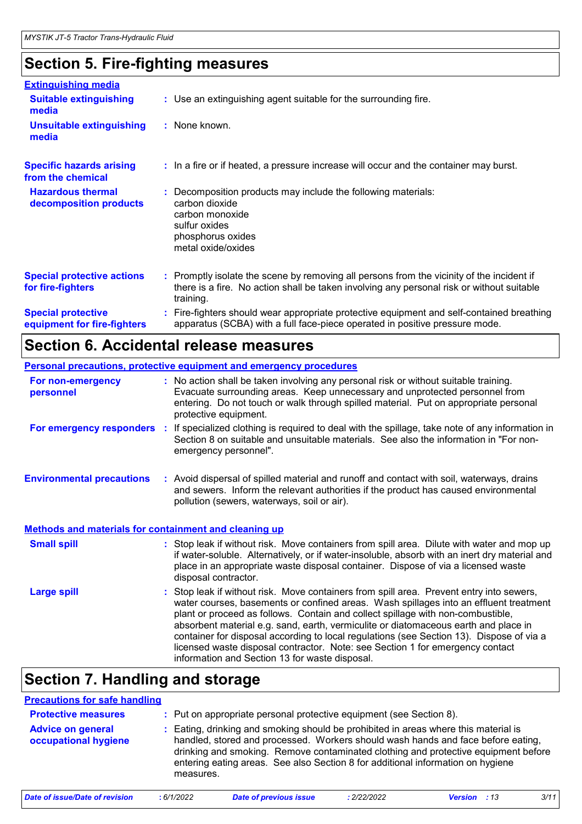## **Section 5. Fire-fighting measures**

| <b>Extinguishing media</b>                               |                                                                                                                                                                                                     |
|----------------------------------------------------------|-----------------------------------------------------------------------------------------------------------------------------------------------------------------------------------------------------|
| <b>Suitable extinguishing</b><br>media                   | : Use an extinguishing agent suitable for the surrounding fire.                                                                                                                                     |
| <b>Unsuitable extinguishing</b><br>media                 | $:$ None known.                                                                                                                                                                                     |
| <b>Specific hazards arising</b><br>from the chemical     | : In a fire or if heated, a pressure increase will occur and the container may burst.                                                                                                               |
| <b>Hazardous thermal</b><br>decomposition products       | Decomposition products may include the following materials:<br>carbon dioxide<br>carbon monoxide<br>sulfur oxides<br>phosphorus oxides<br>metal oxide/oxides                                        |
| <b>Special protective actions</b><br>for fire-fighters   | : Promptly isolate the scene by removing all persons from the vicinity of the incident if<br>there is a fire. No action shall be taken involving any personal risk or without suitable<br>training. |
| <b>Special protective</b><br>equipment for fire-fighters | Fire-fighters should wear appropriate protective equipment and self-contained breathing<br>apparatus (SCBA) with a full face-piece operated in positive pressure mode.                              |

### **Section 6. Accidental release measures**

|                                                              | Personal precautions, protective equipment and emergency procedures                                                                                                                                                                                                                                                                                                                                                                                                                                                                                                                      |
|--------------------------------------------------------------|------------------------------------------------------------------------------------------------------------------------------------------------------------------------------------------------------------------------------------------------------------------------------------------------------------------------------------------------------------------------------------------------------------------------------------------------------------------------------------------------------------------------------------------------------------------------------------------|
| For non-emergency<br>personnel                               | : No action shall be taken involving any personal risk or without suitable training.<br>Evacuate surrounding areas. Keep unnecessary and unprotected personnel from<br>entering. Do not touch or walk through spilled material. Put on appropriate personal<br>protective equipment.                                                                                                                                                                                                                                                                                                     |
| For emergency responders                                     | If specialized clothing is required to deal with the spillage, take note of any information in<br>-11<br>Section 8 on suitable and unsuitable materials. See also the information in "For non-<br>emergency personnel".                                                                                                                                                                                                                                                                                                                                                                  |
| <b>Environmental precautions</b>                             | : Avoid dispersal of spilled material and runoff and contact with soil, waterways, drains<br>and sewers. Inform the relevant authorities if the product has caused environmental<br>pollution (sewers, waterways, soil or air).                                                                                                                                                                                                                                                                                                                                                          |
| <b>Methods and materials for containment and cleaning up</b> |                                                                                                                                                                                                                                                                                                                                                                                                                                                                                                                                                                                          |
| <b>Small spill</b>                                           | : Stop leak if without risk. Move containers from spill area. Dilute with water and mop up<br>if water-soluble. Alternatively, or if water-insoluble, absorb with an inert dry material and<br>place in an appropriate waste disposal container. Dispose of via a licensed waste<br>disposal contractor.                                                                                                                                                                                                                                                                                 |
| <b>Large spill</b>                                           | Stop leak if without risk. Move containers from spill area. Prevent entry into sewers,<br>water courses, basements or confined areas. Wash spillages into an effluent treatment<br>plant or proceed as follows. Contain and collect spillage with non-combustible,<br>absorbent material e.g. sand, earth, vermiculite or diatomaceous earth and place in<br>container for disposal according to local regulations (see Section 13). Dispose of via a<br>licensed waste disposal contractor. Note: see Section 1 for emergency contact<br>information and Section 13 for waste disposal. |

### **Section 7. Handling and storage**

| <b>Precautions for safe handling</b>             |           |                                                                                                                                                                                                                                                                                                                                                  |             |                     |      |
|--------------------------------------------------|-----------|--------------------------------------------------------------------------------------------------------------------------------------------------------------------------------------------------------------------------------------------------------------------------------------------------------------------------------------------------|-------------|---------------------|------|
| <b>Protective measures</b>                       |           | : Put on appropriate personal protective equipment (see Section 8).                                                                                                                                                                                                                                                                              |             |                     |      |
| <b>Advice on general</b><br>occupational hygiene | measures. | : Eating, drinking and smoking should be prohibited in areas where this material is<br>handled, stored and processed. Workers should wash hands and face before eating,<br>drinking and smoking. Remove contaminated clothing and protective equipment before<br>entering eating areas. See also Section 8 for additional information on hygiene |             |                     |      |
| Date of issue/Date of revision                   | :6/1/2022 | <b>Date of previous issue</b>                                                                                                                                                                                                                                                                                                                    | : 2/22/2022 | <b>Version</b> : 13 | 3/11 |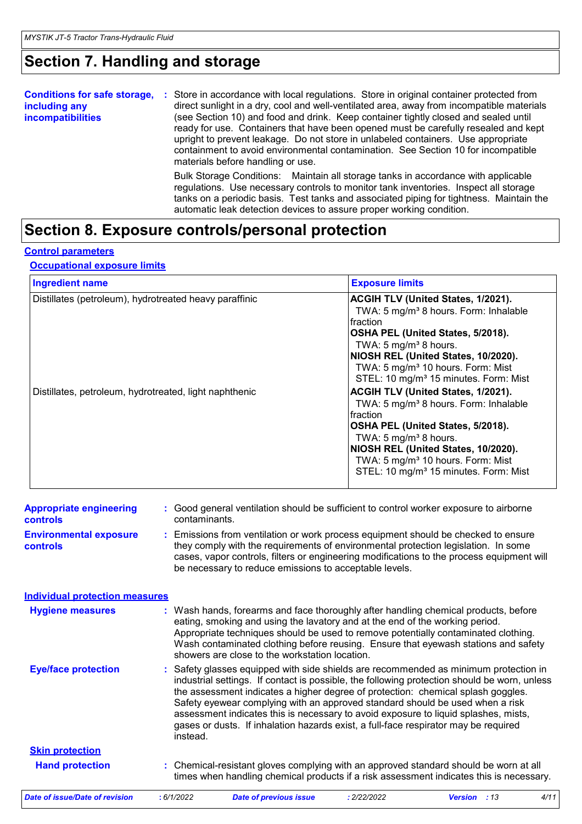## **Section 7. Handling and storage**

| <b>Conditions for safe storage,</b><br>including any<br>incompatibilities | Store in accordance with local regulations. Store in original container protected from<br>÷.<br>direct sunlight in a dry, cool and well-ventilated area, away from incompatible materials<br>(see Section 10) and food and drink. Keep container tightly closed and sealed until<br>ready for use. Containers that have been opened must be carefully resealed and kept<br>upright to prevent leakage. Do not store in unlabeled containers. Use appropriate<br>containment to avoid environmental contamination. See Section 10 for incompatible<br>materials before handling or use. |
|---------------------------------------------------------------------------|----------------------------------------------------------------------------------------------------------------------------------------------------------------------------------------------------------------------------------------------------------------------------------------------------------------------------------------------------------------------------------------------------------------------------------------------------------------------------------------------------------------------------------------------------------------------------------------|
|                                                                           | Bulk Storage Conditions: Maintain all storage tanks in accordance with applicable<br>regulations. Use necessary controls to monitor tank inventories. Inspect all storage<br>tanks on a periodic basis. Test tanks and associated piping for tightness. Maintain the<br>automatic leak detection devices to assure proper working condition.                                                                                                                                                                                                                                           |

# **Section 8. Exposure controls/personal protection**

#### **Control parameters**

#### **Occupational exposure limits**

| <b>Ingredient name</b>                                                                                           | <b>Exposure limits</b>                                                                                                                                                                                                                                                                                                                                                                                                                                                                                                                                                                                                                                 |
|------------------------------------------------------------------------------------------------------------------|--------------------------------------------------------------------------------------------------------------------------------------------------------------------------------------------------------------------------------------------------------------------------------------------------------------------------------------------------------------------------------------------------------------------------------------------------------------------------------------------------------------------------------------------------------------------------------------------------------------------------------------------------------|
| Distillates (petroleum), hydrotreated heavy paraffinic<br>Distillates, petroleum, hydrotreated, light naphthenic | ACGIH TLV (United States, 1/2021).<br>TWA: 5 mg/m <sup>3</sup> 8 hours. Form: Inhalable<br><b>fraction</b><br>OSHA PEL (United States, 5/2018).<br>TWA: 5 $mg/m3$ 8 hours.<br>NIOSH REL (United States, 10/2020).<br>TWA: 5 mg/m <sup>3</sup> 10 hours. Form: Mist<br>STEL: 10 mg/m <sup>3</sup> 15 minutes. Form: Mist<br>ACGIH TLV (United States, 1/2021).<br>TWA: 5 mg/m <sup>3</sup> 8 hours. Form: Inhalable<br>Ifraction<br>OSHA PEL (United States, 5/2018).<br>TWA: 5 mg/m <sup>3</sup> 8 hours.<br>NIOSH REL (United States, 10/2020).<br>TWA: 5 mg/m <sup>3</sup> 10 hours. Form: Mist<br>STEL: 10 mg/m <sup>3</sup> 15 minutes. Form: Mist |

| <b>Appropriate engineering</b><br><b>controls</b> | : Good general ventilation should be sufficient to control worker exposure to airborne<br>contaminants.                                                                                                                                                                                                                         |
|---------------------------------------------------|---------------------------------------------------------------------------------------------------------------------------------------------------------------------------------------------------------------------------------------------------------------------------------------------------------------------------------|
| <b>Environmental exposure</b><br><b>controls</b>  | : Emissions from ventilation or work process equipment should be checked to ensure<br>they comply with the requirements of environmental protection legislation. In some<br>cases, vapor controls, filters or engineering modifications to the process equipment will<br>be necessary to reduce emissions to acceptable levels. |
| <b>Individual protection measures</b>             |                                                                                                                                                                                                                                                                                                                                 |

| <b>Eye/face protection</b>     |            | Wash contaminated clothing before reusing. Ensure that eyewash stations and safety<br>showers are close to the workstation location.<br>: Safety glasses equipped with side shields are recommended as minimum protection in<br>industrial settings. If contact is possible, the following protection should be worn, unless                    |             |                |      |
|--------------------------------|------------|-------------------------------------------------------------------------------------------------------------------------------------------------------------------------------------------------------------------------------------------------------------------------------------------------------------------------------------------------|-------------|----------------|------|
|                                | instead.   | the assessment indicates a higher degree of protection: chemical splash goggles.<br>Safety eyewear complying with an approved standard should be used when a risk<br>assessment indicates this is necessary to avoid exposure to liquid splashes, mists,<br>gases or dusts. If inhalation hazards exist, a full-face respirator may be required |             |                |      |
| <b>Skin protection</b>         |            |                                                                                                                                                                                                                                                                                                                                                 |             |                |      |
| <b>Hand protection</b>         |            | : Chemical-resistant gloves complying with an approved standard should be worn at all<br>times when handling chemical products if a risk assessment indicates this is necessary.                                                                                                                                                                |             |                |      |
| Date of issue/Date of revision | : 6/1/2022 | <b>Date of previous issue</b>                                                                                                                                                                                                                                                                                                                   | : 2/22/2022 | Version<br>:13 | 4/11 |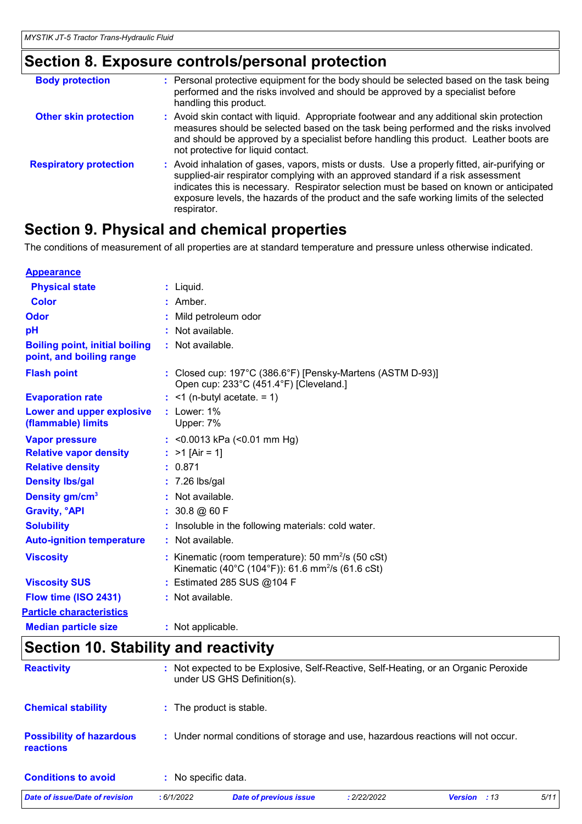## **Section 8. Exposure controls/personal protection**

| <b>Body protection</b>        | : Personal protective equipment for the body should be selected based on the task being<br>performed and the risks involved and should be approved by a specialist before<br>handling this product.                                                                                                                                                                                   |
|-------------------------------|---------------------------------------------------------------------------------------------------------------------------------------------------------------------------------------------------------------------------------------------------------------------------------------------------------------------------------------------------------------------------------------|
| <b>Other skin protection</b>  | : Avoid skin contact with liquid. Appropriate footwear and any additional skin protection<br>measures should be selected based on the task being performed and the risks involved<br>and should be approved by a specialist before handling this product. Leather boots are<br>not protective for liquid contact.                                                                     |
| <b>Respiratory protection</b> | : Avoid inhalation of gases, vapors, mists or dusts. Use a properly fitted, air-purifying or<br>supplied-air respirator complying with an approved standard if a risk assessment<br>indicates this is necessary. Respirator selection must be based on known or anticipated<br>exposure levels, the hazards of the product and the safe working limits of the selected<br>respirator. |

### **Section 9. Physical and chemical properties**

The conditions of measurement of all properties are at standard temperature and pressure unless otherwise indicated.

| <b>Appearance</b>                                                 |                                                                                                                         |
|-------------------------------------------------------------------|-------------------------------------------------------------------------------------------------------------------------|
| <b>Physical state</b>                                             | $:$ Liquid.                                                                                                             |
| <b>Color</b>                                                      | : Amber.                                                                                                                |
| Odor                                                              | Mild petroleum odor                                                                                                     |
| pH                                                                | $:$ Not available.                                                                                                      |
| <b>Boiling point, initial boiling</b><br>point, and boiling range | : Not available.                                                                                                        |
| <b>Flash point</b>                                                | : Closed cup: 197°C (386.6°F) [Pensky-Martens (ASTM D-93)]<br>Open cup: 233°C (451.4°F) [Cleveland.]                    |
| <b>Evaporation rate</b>                                           | $:$ <1 (n-butyl acetate. = 1)                                                                                           |
| Lower and upper explosive<br>(flammable) limits                   | $:$ Lower: 1%<br>Upper: 7%                                                                                              |
| <b>Vapor pressure</b>                                             | : < $0.0013$ kPa (< $0.01$ mm Hg)                                                                                       |
| <b>Relative vapor density</b>                                     | : $>1$ [Air = 1]                                                                                                        |
| <b>Relative density</b>                                           | : 0.871                                                                                                                 |
| <b>Density Ibs/gal</b>                                            | $: 7.26$ lbs/gal                                                                                                        |
| Density gm/cm <sup>3</sup>                                        | : Not available.                                                                                                        |
| <b>Gravity, °API</b>                                              | $: 30.8 \text{ @ } 60 \text{ F}$                                                                                        |
| <b>Solubility</b>                                                 | : Insoluble in the following materials: cold water.                                                                     |
| <b>Auto-ignition temperature</b>                                  | : Not available.                                                                                                        |
| <b>Viscosity</b>                                                  | : Kinematic (room temperature): 50 mm $^{2}/s$ (50 cSt)<br>Kinematic (40°C (104°F)): 61.6 mm <sup>2</sup> /s (61.6 cSt) |
| <b>Viscosity SUS</b>                                              | : Estimated 285 SUS @104 F                                                                                              |
| Flow time (ISO 2431)                                              | : Not available.                                                                                                        |
| <b>Particle characteristics</b>                                   |                                                                                                                         |
| <b>Median particle size</b>                                       | : Not applicable.                                                                                                       |

# **Section 10. Stability and reactivity**

| <b>Reactivity</b>                                   |                     | : Not expected to be Explosive, Self-Reactive, Self-Heating, or an Organic Peroxide<br>under US GHS Definition(s). |             |                       |      |
|-----------------------------------------------------|---------------------|--------------------------------------------------------------------------------------------------------------------|-------------|-----------------------|------|
| <b>Chemical stability</b>                           |                     | : The product is stable.                                                                                           |             |                       |      |
| <b>Possibility of hazardous</b><br><b>reactions</b> |                     | : Under normal conditions of storage and use, hazardous reactions will not occur.                                  |             |                       |      |
| <b>Conditions to avoid</b>                          | : No specific data. |                                                                                                                    |             |                       |      |
| Date of issue/Date of revision                      | : 6/1/2022          | <b>Date of previous issue</b>                                                                                      | : 2/22/2022 | :13<br><b>Version</b> | 5/11 |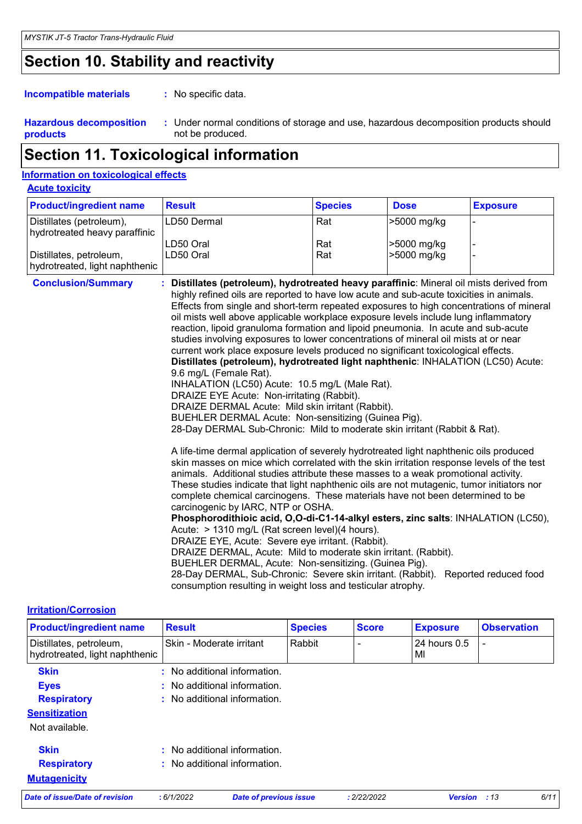# **Section 10. Stability and reactivity**

: No specific data. **Incompatible materials :**

**Hazardous decomposition products** Under normal conditions of storage and use, hazardous decomposition products should **:** not be produced.

### **Section 11. Toxicological information**

| <b>Information on toxicological effects</b>               |                                                                                                                                                                                                                                                                                                                                                                                                                                                                                                                                                                                                                                                                                                                                                                                                                                                                                                                                                                                                                                                                                                                                                                                                                                                                                                                                                                                                                                                                                                                                                                                                                                                                                                                                                                                                                                                                                                                                        |                |             |                       |
|-----------------------------------------------------------|----------------------------------------------------------------------------------------------------------------------------------------------------------------------------------------------------------------------------------------------------------------------------------------------------------------------------------------------------------------------------------------------------------------------------------------------------------------------------------------------------------------------------------------------------------------------------------------------------------------------------------------------------------------------------------------------------------------------------------------------------------------------------------------------------------------------------------------------------------------------------------------------------------------------------------------------------------------------------------------------------------------------------------------------------------------------------------------------------------------------------------------------------------------------------------------------------------------------------------------------------------------------------------------------------------------------------------------------------------------------------------------------------------------------------------------------------------------------------------------------------------------------------------------------------------------------------------------------------------------------------------------------------------------------------------------------------------------------------------------------------------------------------------------------------------------------------------------------------------------------------------------------------------------------------------------|----------------|-------------|-----------------------|
| <b>Acute toxicity</b>                                     |                                                                                                                                                                                                                                                                                                                                                                                                                                                                                                                                                                                                                                                                                                                                                                                                                                                                                                                                                                                                                                                                                                                                                                                                                                                                                                                                                                                                                                                                                                                                                                                                                                                                                                                                                                                                                                                                                                                                        |                |             |                       |
| <b>Product/ingredient name</b>                            | <b>Result</b>                                                                                                                                                                                                                                                                                                                                                                                                                                                                                                                                                                                                                                                                                                                                                                                                                                                                                                                                                                                                                                                                                                                                                                                                                                                                                                                                                                                                                                                                                                                                                                                                                                                                                                                                                                                                                                                                                                                          | <b>Species</b> | <b>Dose</b> | <b>Exposure</b>       |
| Distillates (petroleum),<br>hydrotreated heavy paraffinic | LD50 Dermal                                                                                                                                                                                                                                                                                                                                                                                                                                                                                                                                                                                                                                                                                                                                                                                                                                                                                                                                                                                                                                                                                                                                                                                                                                                                                                                                                                                                                                                                                                                                                                                                                                                                                                                                                                                                                                                                                                                            | Rat            | >5000 mg/kg |                       |
|                                                           | LD50 Oral                                                                                                                                                                                                                                                                                                                                                                                                                                                                                                                                                                                                                                                                                                                                                                                                                                                                                                                                                                                                                                                                                                                                                                                                                                                                                                                                                                                                                                                                                                                                                                                                                                                                                                                                                                                                                                                                                                                              | Rat            | >5000 mg/kg |                       |
| Distillates, petroleum,<br>hydrotreated, light naphthenic | LD50 Oral                                                                                                                                                                                                                                                                                                                                                                                                                                                                                                                                                                                                                                                                                                                                                                                                                                                                                                                                                                                                                                                                                                                                                                                                                                                                                                                                                                                                                                                                                                                                                                                                                                                                                                                                                                                                                                                                                                                              | Rat            | >5000 mg/kg |                       |
| <b>Conclusion/Summary</b>                                 | : Distillates (petroleum), hydrotreated heavy paraffinic: Mineral oil mists derived from<br>highly refined oils are reported to have low acute and sub-acute toxicities in animals.<br>Effects from single and short-term repeated exposures to high concentrations of mineral<br>oil mists well above applicable workplace exposure levels include lung inflammatory<br>reaction, lipoid granuloma formation and lipoid pneumonia. In acute and sub-acute<br>studies involving exposures to lower concentrations of mineral oil mists at or near<br>current work place exposure levels produced no significant toxicological effects.<br>Distillates (petroleum), hydrotreated light naphthenic: INHALATION (LC50) Acute:<br>9.6 mg/L (Female Rat).<br>INHALATION (LC50) Acute: 10.5 mg/L (Male Rat).<br>DRAIZE EYE Acute: Non-irritating (Rabbit).<br>DRAIZE DERMAL Acute: Mild skin irritant (Rabbit).<br>BUEHLER DERMAL Acute: Non-sensitizing (Guinea Pig).<br>28-Day DERMAL Sub-Chronic: Mild to moderate skin irritant (Rabbit & Rat).<br>A life-time dermal application of severely hydrotreated light naphthenic oils produced<br>skin masses on mice which correlated with the skin irritation response levels of the test<br>animals. Additional studies attribute these masses to a weak promotional activity.<br>These studies indicate that light naphthenic oils are not mutagenic, tumor initiators nor<br>complete chemical carcinogens. These materials have not been determined to be<br>carcinogenic by IARC, NTP or OSHA.<br>Phosphorodithioic acid, O,O-di-C1-14-alkyl esters, zinc salts: INHALATION (LC50),<br>Acute: > 1310 mg/L (Rat screen level)(4 hours).<br>DRAIZE EYE, Acute: Severe eye irritant. (Rabbit).<br>DRAIZE DERMAL, Acute: Mild to moderate skin irritant. (Rabbit).<br>BUEHLER DERMAL, Acute: Non-sensitizing. (Guinea Pig).<br>28-Day DERMAL, Sub-Chronic: Severe skin irritant. (Rabbit). |                |             | Reported reduced food |

#### **Irritation/Corrosion**

| <b>Product/ingredient name</b>                            | <b>Result</b> |                                         | <b>Species</b> | <b>Score</b> | <b>Exposure</b>    | <b>Observation</b> |
|-----------------------------------------------------------|---------------|-----------------------------------------|----------------|--------------|--------------------|--------------------|
| Distillates, petroleum,<br>hydrotreated, light naphthenic |               | Skin - Moderate irritant                | Rabbit         |              | 24 hours 0.5<br>MI | ۰                  |
| <b>Skin</b>                                               | t.            | No additional information.              |                |              |                    |                    |
| <b>Eyes</b>                                               |               | No additional information.              |                |              |                    |                    |
| <b>Respiratory</b>                                        |               | $\therefore$ No additional information. |                |              |                    |                    |
| <b>Sensitization</b>                                      |               |                                         |                |              |                    |                    |
| Not available.                                            |               |                                         |                |              |                    |                    |
| <b>Skin</b>                                               |               | No additional information.              |                |              |                    |                    |
| <b>Respiratory</b>                                        |               | No additional information.              |                |              |                    |                    |
| <b>Mutagenicity</b>                                       |               |                                         |                |              |                    |                    |
| Date of issue/Date of revision                            | : 6/1/2022    | <b>Date of previous issue</b>           |                | : 2/22/2022  | <b>Version</b>     | 6/11<br>:13        |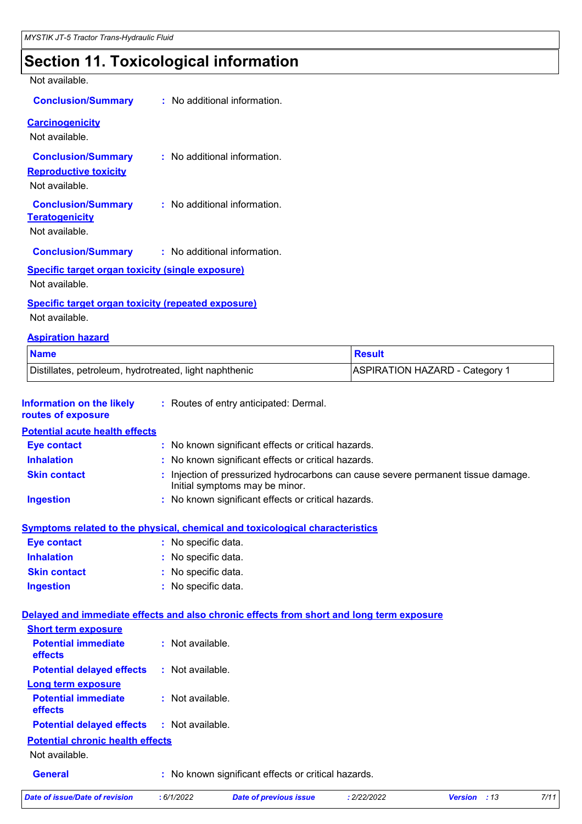# **Section 11. Toxicological information**

Not available.

| <b>Conclusion/Summary</b>                                                   | : No additional information.   |
|-----------------------------------------------------------------------------|--------------------------------|
| <b>Carcinogenicity</b><br>Not available.                                    |                                |
| <b>Conclusion/Summary</b><br><b>Reproductive toxicity</b><br>Not available. | $:$ No additional information. |
| <b>Conclusion/Summary</b><br><b>Teratogenicity</b><br>Not available.        | : No additional information.   |
| <b>Conclusion/Summary</b>                                                   | : No additional information.   |
| <b>Specific target organ toxicity (single exposure)</b>                     |                                |

Not available.

#### **Specific target organ toxicity (repeated exposure)**

Not available.

#### **Aspiration hazard**

| <b>Name</b>                                            | Result                                |
|--------------------------------------------------------|---------------------------------------|
| Distillates, petroleum, hydrotreated, light naphthenic | <b>ASPIRATION HAZARD - Category 1</b> |

| <b>Information on the likely</b><br>routes of exposure                                   |                     | : Routes of entry anticipated: Dermal.                                                                              |             |                     |      |
|------------------------------------------------------------------------------------------|---------------------|---------------------------------------------------------------------------------------------------------------------|-------------|---------------------|------|
| <b>Potential acute health effects</b>                                                    |                     |                                                                                                                     |             |                     |      |
| <b>Eye contact</b>                                                                       |                     | : No known significant effects or critical hazards.                                                                 |             |                     |      |
| <b>Inhalation</b>                                                                        |                     | : No known significant effects or critical hazards.                                                                 |             |                     |      |
| <b>Skin contact</b>                                                                      |                     | : Injection of pressurized hydrocarbons can cause severe permanent tissue damage.<br>Initial symptoms may be minor. |             |                     |      |
| <b>Ingestion</b>                                                                         |                     | : No known significant effects or critical hazards.                                                                 |             |                     |      |
| <b>Symptoms related to the physical, chemical and toxicological characteristics</b>      |                     |                                                                                                                     |             |                     |      |
| <b>Eye contact</b>                                                                       | : No specific data. |                                                                                                                     |             |                     |      |
| <b>Inhalation</b>                                                                        | : No specific data. |                                                                                                                     |             |                     |      |
| <b>Skin contact</b>                                                                      | : No specific data. |                                                                                                                     |             |                     |      |
| <b>Ingestion</b>                                                                         | : No specific data. |                                                                                                                     |             |                     |      |
| Delayed and immediate effects and also chronic effects from short and long term exposure |                     |                                                                                                                     |             |                     |      |
| <b>Short term exposure</b>                                                               |                     |                                                                                                                     |             |                     |      |
| <b>Potential immediate</b><br>effects                                                    | : Not available.    |                                                                                                                     |             |                     |      |
| <b>Potential delayed effects</b>                                                         | : Not available.    |                                                                                                                     |             |                     |      |
| <b>Long term exposure</b>                                                                |                     |                                                                                                                     |             |                     |      |
| <b>Potential immediate</b><br>effects                                                    | : Not available.    |                                                                                                                     |             |                     |      |
| <b>Potential delayed effects</b>                                                         | : Not available.    |                                                                                                                     |             |                     |      |
| <b>Potential chronic health effects</b>                                                  |                     |                                                                                                                     |             |                     |      |
| Not available.                                                                           |                     |                                                                                                                     |             |                     |      |
| <b>General</b>                                                                           |                     | : No known significant effects or critical hazards.                                                                 |             |                     |      |
| <b>Date of issue/Date of revision</b>                                                    | :6/1/2022           | <b>Date of previous issue</b>                                                                                       | : 2/22/2022 | <b>Version</b> : 13 | 7/11 |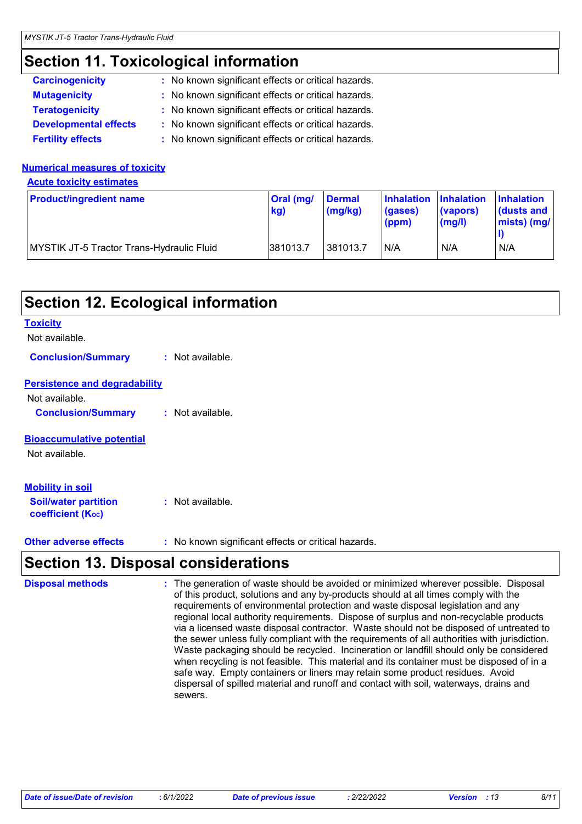### **Section 11. Toxicological information**

| <b>Carcinogenicity</b>       | : No known significant effects or critical hazards. |
|------------------------------|-----------------------------------------------------|
| <b>Mutagenicity</b>          | : No known significant effects or critical hazards. |
| <b>Teratogenicity</b>        | : No known significant effects or critical hazards. |
| <b>Developmental effects</b> | : No known significant effects or critical hazards. |
| <b>Fertility effects</b>     | : No known significant effects or critical hazards. |

#### **Numerical measures of toxicity**

**Acute toxicity estimates**

| <b>Product/ingredient name</b>                   | <b>Oral</b> (mg/<br>kg) | <b>Dermal</b><br>$\lceil$ (mg/kg) | Inhalation Inhalation<br>(gases)<br>(ppm) | (vapors)<br>$\mathsf{mgl}()$ | <b>Inhalation</b><br><b>dusts and</b><br>$ miss $ (mg/ |
|--------------------------------------------------|-------------------------|-----------------------------------|-------------------------------------------|------------------------------|--------------------------------------------------------|
| <b>MYSTIK JT-5 Tractor Trans-Hydraulic Fluid</b> | 381013.7                | 381013.7                          | IN/A                                      | N/A                          | N/A                                                    |

### **Section 12. Ecological information**

#### **Toxicity**

#### Not available.

**Conclusion/Summary :** Not available.

#### **Persistence and degradability**

Not available. **Conclusion/Summary :** Not available.

#### **Bioaccumulative potential**

Not available.

#### **Mobility in soil**

**Soil/water partition coefficient (KOC) :** Not available.

**Other adverse effects** : No known significant effects or critical hazards.

### **Section 13. Disposal considerations**

The generation of waste should be avoided or minimized wherever possible. Disposal of this product, solutions and any by-products should at all times comply with the requirements of environmental protection and waste disposal legislation and any regional local authority requirements. Dispose of surplus and non-recyclable products via a licensed waste disposal contractor. Waste should not be disposed of untreated to the sewer unless fully compliant with the requirements of all authorities with jurisdiction. Waste packaging should be recycled. Incineration or landfill should only be considered when recycling is not feasible. This material and its container must be disposed of in a safe way. Empty containers or liners may retain some product residues. Avoid dispersal of spilled material and runoff and contact with soil, waterways, drains and sewers. **Disposal methods :**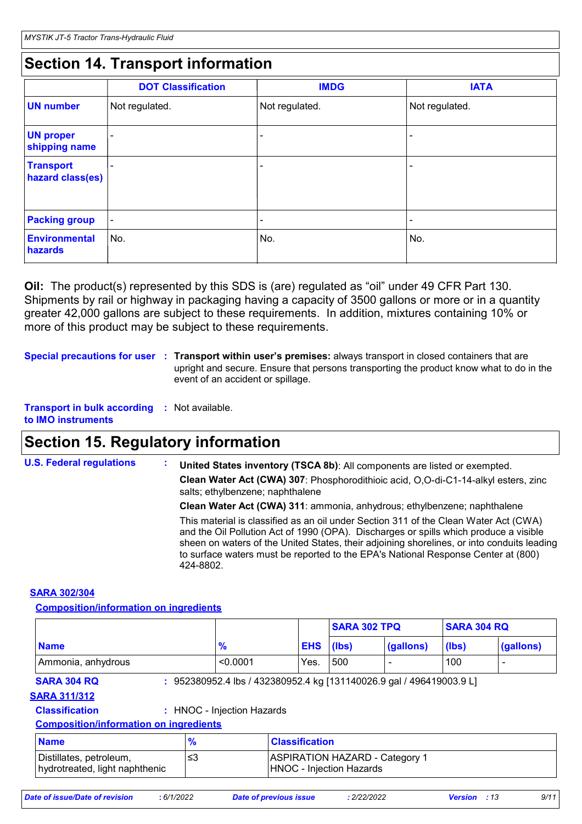### **Section 14. Transport information**

|                                      | <b>DOT Classification</b> | <b>IMDG</b>    | <b>IATA</b>    |
|--------------------------------------|---------------------------|----------------|----------------|
| <b>UN number</b>                     | Not regulated.            | Not regulated. | Not regulated. |
| <b>UN proper</b><br>shipping name    | -                         |                |                |
| <b>Transport</b><br>hazard class(es) |                           |                |                |
| <b>Packing group</b>                 | $\blacksquare$            |                |                |
| <b>Environmental</b><br>hazards      | No.                       | No.            | No.            |

**Oil:** The product(s) represented by this SDS is (are) regulated as "oil" under 49 CFR Part 130. Shipments by rail or highway in packaging having a capacity of 3500 gallons or more or in a quantity greater 42,000 gallons are subject to these requirements. In addition, mixtures containing 10% or more of this product may be subject to these requirements.

**Special precautions for user Transport within user's premises:** always transport in closed containers that are **:** upright and secure. Ensure that persons transporting the product know what to do in the event of an accident or spillage.

**Transport in bulk according :** Not available. **to IMO instruments**

### **Section 15. Regulatory information**

| <b>U.S. Federal regulations</b> | United States inventory (TSCA 8b): All components are listed or exempted.<br>Clean Water Act (CWA) 307: Phosphorodithioic acid, O,O-di-C1-14-alkyl esters, zinc<br>salts; ethylbenzene; naphthalene                                                                                                                                                                           |  |
|---------------------------------|-------------------------------------------------------------------------------------------------------------------------------------------------------------------------------------------------------------------------------------------------------------------------------------------------------------------------------------------------------------------------------|--|
|                                 | Clean Water Act (CWA) 311: ammonia, anhydrous; ethylbenzene; naphthalene                                                                                                                                                                                                                                                                                                      |  |
|                                 | This material is classified as an oil under Section 311 of the Clean Water Act (CWA)<br>and the Oil Pollution Act of 1990 (OPA). Discharges or spills which produce a visible<br>sheen on waters of the United States, their adjoining shorelines, or into conduits leading<br>to surface waters must be reported to the EPA's National Response Center at (800)<br>424-8802. |  |

#### **SARA 302/304**

#### **Composition/information on ingredients**

|                                           |                                                                      |            | <b>SARA 302 TPQ</b> |           | <b>SARA 304 RQ</b> |           |
|-------------------------------------------|----------------------------------------------------------------------|------------|---------------------|-----------|--------------------|-----------|
| <b>Name</b>                               | $\frac{9}{6}$                                                        | <b>EHS</b> | (lbs)               | (gallons) | (lbs)              | (gallons) |
| Ammonia, anhydrous                        | < 0.0001                                                             | Yes.       | 500                 |           | 100                |           |
| <b>SARA 304 RQ</b><br><b>SARA 311/312</b> | : 952380952.4 lbs / 432380952.4 kg [131140026.9 gal / 496419003.9 L] |            |                     |           |                    |           |
| <b>Classification</b>                     | : HNOC - Injection Hazards                                           |            |                     |           |                    |           |

**Composition/information on ingredients**

| <b>Name</b>                                               | $\frac{9}{4}$ | <b>Classification</b>                                             |
|-----------------------------------------------------------|---------------|-------------------------------------------------------------------|
| Distillates, petroleum,<br>hydrotreated, light naphthenic |               | <b>ASPIRATION HAZARD - Category 1</b><br>HNOC - Injection Hazards |

| Date of issue/Date of revision |  |
|--------------------------------|--|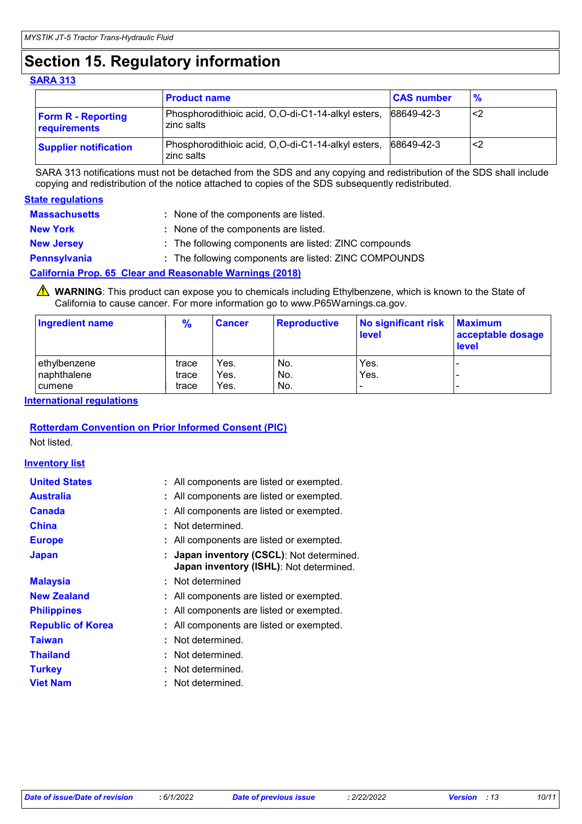### **Section 15. Regulatory information**

#### **SARA 313**

|                                           | <b>Product name</b>                                              | <b>CAS number</b> | $\frac{9}{6}$ |
|-------------------------------------------|------------------------------------------------------------------|-------------------|---------------|
| <b>Form R - Reporting</b><br>requirements | Phosphorodithioic acid, O,O-di-C1-14-alkyl esters,<br>zinc salts | 68649-42-3        | ′∕2           |
| <b>Supplier notification</b>              | Phosphorodithioic acid, O,O-di-C1-14-alkyl esters,<br>zinc salts | 68649-42-3        | - <2          |

SARA 313 notifications must not be detached from the SDS and any copying and redistribution of the SDS shall include copying and redistribution of the notice attached to copies of the SDS subsequently redistributed.

#### **State regulations**

| <b>Massachusetts</b> | : None of the components are listed.                            |
|----------------------|-----------------------------------------------------------------|
| <b>New York</b>      | : None of the components are listed.                            |
| <b>New Jersey</b>    | : The following components are listed: ZINC compounds           |
| <b>Pennsylvania</b>  | : The following components are listed: ZINC COMPOUNDS           |
|                      | <b>California Prop. 65 Clear and Reasonable Warnings (2018)</b> |

WARNING: This product can expose you to chemicals including Ethylbenzene, which is known to the State of California to cause cancer. For more information go to www.P65Warnings.ca.gov.

| <b>Ingredient name</b> | $\frac{9}{6}$ | <b>Cancer</b> | Reproductive | No significant risk<br>level | <b>Maximum</b><br>acceptable dosage<br><b>level</b> |
|------------------------|---------------|---------------|--------------|------------------------------|-----------------------------------------------------|
| lethvlbenzene          | trace         | Yes.          | No.          | Yes.                         | -                                                   |
| Inaphthalene           | trace         | Yes.          | No.          | Yes.                         |                                                     |
| I cumene               | trace         | Yes.          | I No.        | $\overline{\phantom{0}}$     |                                                     |

#### **International regulations**

#### **Rotterdam Convention on Prior Informed Consent (PIC)**

Not listed.

#### **Inventory list**

| <b>United States</b>     | : All components are listed or exempted.                                             |
|--------------------------|--------------------------------------------------------------------------------------|
| <b>Australia</b>         | : All components are listed or exempted.                                             |
| <b>Canada</b>            | : All components are listed or exempted.                                             |
| <b>China</b>             | : Not determined.                                                                    |
| <b>Europe</b>            | : All components are listed or exempted.                                             |
| <b>Japan</b>             | : Japan inventory (CSCL): Not determined.<br>Japan inventory (ISHL): Not determined. |
| <b>Malaysia</b>          | : Not determined                                                                     |
| <b>New Zealand</b>       | : All components are listed or exempted.                                             |
| <b>Philippines</b>       | : All components are listed or exempted.                                             |
| <b>Republic of Korea</b> | : All components are listed or exempted.                                             |
| <b>Taiwan</b>            | : Not determined.                                                                    |
| <b>Thailand</b>          | : Not determined.                                                                    |
| <b>Turkey</b>            | : Not determined.                                                                    |
| <b>Viet Nam</b>          | Not determined.                                                                      |